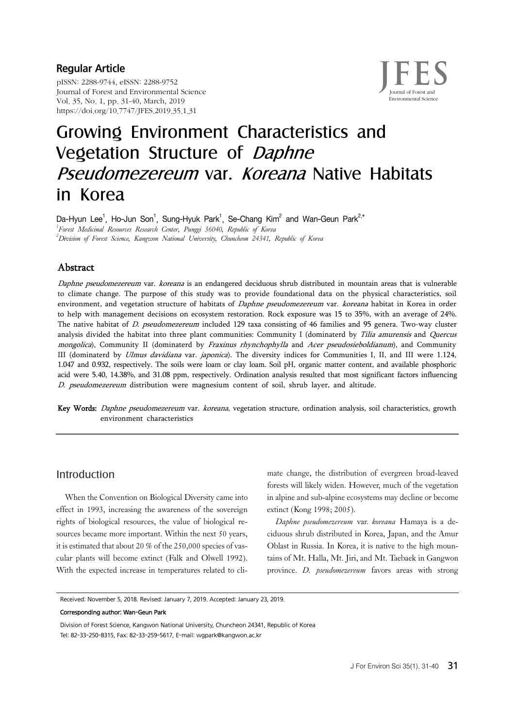**Regular Article**<br>pISSN: 2288-9744, eISSN: 2288-9752<br>Journal of Forest and Environmental Science pISSN: 2288-9744, eISSN: 2288-9752 Journal of Forest and Environmental Science Vol. 35, No. 1, pp. 31-40, March, 2019 https://doi.org/10.7747/JFES.2019.35.1.31



# Growing Environment Characteristics and Vegetation Structure of Daphne Pseudomezereum var. Koreana Native Habitats in Korea

Da-Hyun Lee<sup>1</sup>, Ho-Jun Son<sup>1</sup>, Sung-Hyuk Park<sup>1</sup>, Se-Chang Kim<sup>2</sup> and Wan-Geun Park<sup>2,\*</sup><br><sup>1</sup> Fann Malisiaal Barwan Barwah Cutur Parmi 36040, Banklis of Kuns *Forest Medicinal Resources Research Center, Punggi 36040, Republic of Korea 2 Division of Forest Science, Kangwon National University, Chuncheon 24341, Republic of Korea*

# Abstract

Daphne pseudomezereum var. koreana is an endangered deciduous shrub distributed in mountain areas that is vulnerable to climate change. The purpose of this study was to provide foundational data on the physical characteristics, soil environment, and vegetation structure of habitats of *Daphne pseudomezereum* var. koreana habitat in Korea in order to help with management decisions on ecosystem restoration. Rock exposure was 15 to 35%, with an average of 24%. The native habitat of *D. pseudomezereum* included 129 taxa consisting of 46 families and 95 genera. Two-way cluster analysis divided the habitat into three plant communities: Community I (dominaterd by Tilia amurensis and Quercus mongolica), Community II (dominaterd by Fraxinus rhynchophylla and Acer pseudosieboldianum), and Community III (dominaterd by *Ulmus davidiana* var. *japonica*). The diversity indices for Communities I, II, and III were 1.124, 1.047 and 0.932, respectively. The soils were loam or clay loam. Soil pH, organic matter content, and available phosphoric acid were 5.40, 14.38%, and 31.08 ppm, respectively. Ordination analysis resulted that most significant factors influencing D. pseudomezereum distribution were magnesium content of soil, shrub layer, and altitude.

Key Words: Daphne pseudomezereum var. koreana, vegetation structure, ordination analysis, soil characteristics, growth environment characteristics

# Introduction

When the Convention on Biological Diversity came into effect in 1993, increasing the awareness of the sovereign rights of biological resources, the value of biological resources became more important. Within the next 50 years, it is estimated that about 20 % of the 250,000 species of vascular plants will become extinct (Falk and Olwell 1992). With the expected increase in temperatures related to cli-

mate change, the distribution of evergreen broad-leaved forests will likely widen. However, much of the vegetation in alpine and sub-alpine ecosystems may decline or become extinct (Kong 1998; 2005).

*Daphne pseudomezereum* var. *koreana* Hamaya is a deciduous shrub distributed in Korea, Japan, and the Amur Oblast in Russia. In Korea, it is native to the high mountains of Mt. Halla, Mt. Jiri, and Mt. Taebaek in Gangwon province. *D. pseudomezereum* favors areas with strong

Received: November 5, 2018. Revised: January 7, 2019. Accepted: January 23, 2019.

#### Corresponding author: Wan-Geun Park

Division of Forest Science, Kangwon National University, Chuncheon 24341, Republic of Korea Tel: 82-33-250-8315, Fax: 82-33-259-5617, E-mail: wgpark@kangwon.ac.kr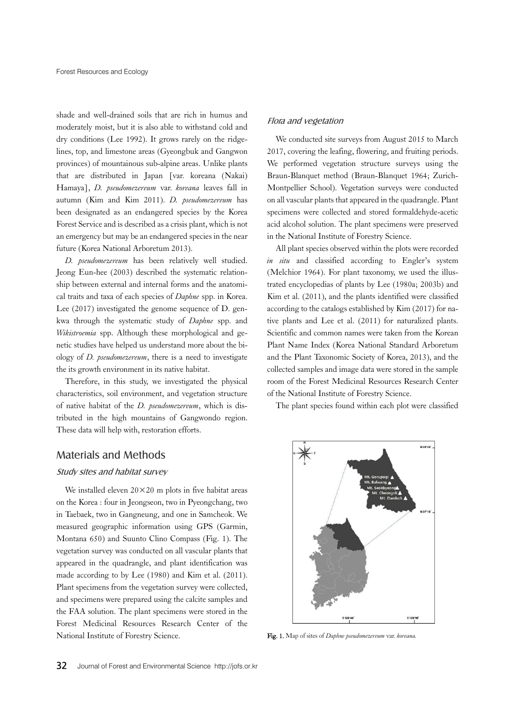shade and well-drained soils that are rich in humus and moderately moist, but it is also able to withstand cold and dry conditions (Lee 1992). It grows rarely on the ridgelines, top, and limestone areas (Gyeongbuk and Gangwon provinces) of mountainous sub-alpine areas. Unlike plants that are distributed in Japan [var. koreana (Nakai) Hamaya], *D. pseudomezereum* var. *koreana* leaves fall in autumn (Kim and Kim 2011). *D. pseudomezereum* has been designated as an endangered species by the Korea Forest Service and is described as a crisis plant, which is not an emergency but may be an endangered species in the near future (Korea National Arboretum 2013).

*D. pseudomezereum* has been relatively well studied. Jeong Eun-hee (2003) described the systematic relationship between external and internal forms and the anatomical traits and taxa of each species of *Daphne* spp. in Korea. Lee (2017) investigated the genome sequence of D. genkwa through the systematic study of *Daphne* spp. and *Wikistroemia* spp. Although these morphological and genetic studies have helped us understand more about the biology of *D. pseudomezereum*, there is a need to investigate the its growth environment in its native habitat.

Therefore, in this study, we investigated the physical characteristics, soil environment, and vegetation structure of native habitat of the *D. pseudomezereum*, which is distributed in the high mountains of Gangwondo region. These data will help with, restoration efforts.

# Materials and Methods

## Study sites and habitat survey

We installed eleven  $20 \times 20$  m plots in five habitat areas on the Korea : four in Jeongseon, two in Pyeongchang, two in Taebaek, two in Gangneung, and one in Samcheok. We measured geographic information using GPS (Garmin, Montana 650) and Suunto Clino Compass (Fig. 1). The vegetation survey was conducted on all vascular plants that appeared in the quadrangle, and plant identification was made according to by Lee (1980) and Kim et al. (2011). Plant specimens from the vegetation survey were collected, and specimens were prepared using the calcite samples and the FAA solution. The plant specimens were stored in the Forest Medicinal Resources Research Center of the National Institute of Forestry Science.

We conducted site surveys from August 2015 to March 2017, covering the leafing, flowering, and fruiting periods. We performed vegetation structure surveys using the Braun-Blanquet method (Braun-Blanquet 1964; Zurich-Montpellier School). Vegetation surveys were conducted on all vascular plants that appeared in the quadrangle. Plant specimens were collected and stored formaldehyde-acetic acid alcohol solution. The plant specimens were preserved in the National Institute of Forestry Science.

All plant species observed within the plots were recorded *in situ* and classified according to Engler's system (Melchior 1964). For plant taxonomy, we used the illustrated encyclopedias of plants by Lee (1980a; 2003b) and Kim et al. (2011), and the plants identified were classified according to the catalogs established by Kim (2017) for native plants and Lee et al. (2011) for naturalized plants. Scientific and common names were taken from the Korean Plant Name Index (Korea National Standard Arboretum and the Plant Taxonomic Society of Korea, 2013), and the collected samples and image data were stored in the sample room of the Forest Medicinal Resources Research Center of the National Institute of Forestry Science.

The plant species found within each plot were classified



Fig. 1. Map of sites of *Daphne pseudomezereum* var. *koreana.*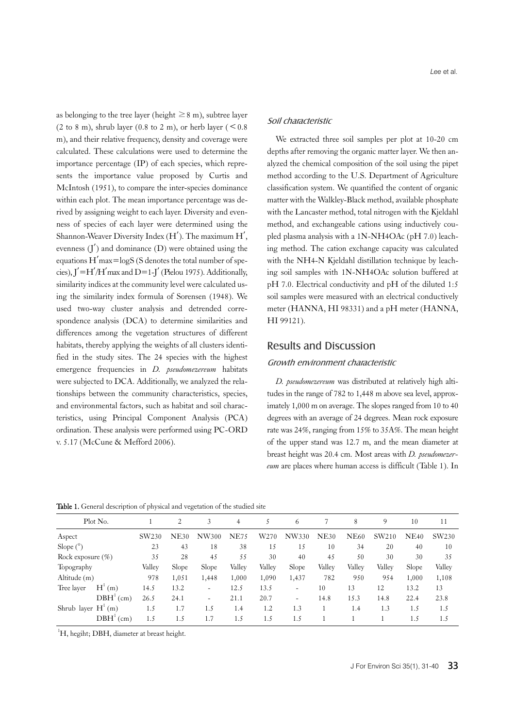as belonging to the tree layer (height  $\geq$ 8 m), subtree layer (2 to 8 m), shrub layer (0.8 to 2 m), or herb layer ( $\leq$  0.8 m), and their relative frequency, density and coverage were calculated. These calculations were used to determine the importance percentage (IP) of each species, which represents the importance value proposed by Curtis and McIntosh (1951), to compare the inter-species dominance within each plot. The mean importance percentage was derived by assigning weight to each layer. Diversity and evenness of species of each layer were determined using the Shannon-Weaver Diversity Index  $(H')$ . The maximum  $H'$ , evenness  $(J')$  and dominance  $(D)$  were obtained using the equations  $H'$ max= $\log S$  (S denotes the total number of species),  $\mathbf{I}' = \mathbf{H}'/\mathbf{H}'$  max and  $\mathbf{D} = 1 - \mathbf{I}'$  (Pielou 1975). Additionally, similarity indices at the community level were calculated using the similarity index formula of Sorensen (1948). We used two-way cluster analysis and detrended correspondence analysis (DCA) to determine similarities and differences among the vegetation structures of different habitats, thereby applying the weights of all clusters identified in the study sites. The 24 species with the highest emergence frequencies in *D. pseudomezereum* habitats were subjected to DCA. Additionally, we analyzed the relationships between the community characteristics, species, and environmental factors, such as habitat and soil characteristics, using Principal Component Analysis (PCA) ordination. These analysis were performed using PC-ORD v. 5.17 (McCune & Mefford 2006).

#### *Lee* et al.

#### Soil characteristic

We extracted three soil samples per plot at 10-20 cm depths after removing the organic matter layer. We then analyzed the chemical composition of the soil using the pipet method according to the U.S. Department of Agriculture classification system. We quantified the content of organic matter with the Walkley-Black method, available phosphate with the Lancaster method, total nitrogen with the Kjeldahl method, and exchangeable cations using inductively coupled plasma analysis with a 1N-NH4OAc (pH 7.0) leaching method. The cation exchange capacity was calculated with the NH4-N Kjeldahl distillation technique by leaching soil samples with 1N-NH4OAc solution buffered at pH 7.0. Electrical conductivity and pH of the diluted 1:5 soil samples were measured with an electrical conductively meter (HANNA, HI 98331) and a pH meter (HANNA, HI 99121).

# Results and Discussion

#### Growth environment characteristic

*D. pseudomezereum* was distributed at relatively high altitudes in the range of 782 to 1,448 m above sea level, approximately 1,000 m on average. The slopes ranged from 10 to 40 degrees with an average of 24 degrees. Mean rock exposure rate was 24%, ranging from 15% to 35A%. The mean height of the upper stand was 12.7 m, and the mean diameter at breast height was 20.4 cm. Most areas with *D. pseudomezereum* are places where human access is difficult (Table 1). In

Table 1. General description of physical and vegetation of the studied site

|                      | Plot No.              |        | 2     | 3                        | 4           |        | -6                       |        | 8           | 9      | 10    | 11     |
|----------------------|-----------------------|--------|-------|--------------------------|-------------|--------|--------------------------|--------|-------------|--------|-------|--------|
| Aspect               |                       | SW230  | NE30  | <b>NW300</b>             | <b>NE75</b> | W270   | NW330                    | NE30   | <b>NE60</b> | SW210  | NE40  | SW230  |
| Slope $(^\circ)$     |                       | 23     | 43    | 18                       | 38          | 15     | 15                       | 10     | 34          | 20     | 40    | 10     |
| Rock exposure $(\%)$ |                       | 35     | 28    | 45                       | 55          | 30     | 40                       | 45     | 50          | 30     | 30    | 35     |
| Topography           |                       | Vallev | Slope | Slope                    | Vallev      | Valley | Slope                    | Valley | Vallev      | Valley | Slope | Valley |
| Altitude (m)         |                       | 978    | 1,051 | 1,448                    | 1,000       | 1,090  | 1,437                    | 782    | 950         | 954    | 1,000 | 1,108  |
| Tree laver           | $H^1(m)$              | 14.5   | 13.2  | $\overline{\phantom{a}}$ | 12.5        | 13.5   | $\overline{\phantom{0}}$ | 10     | 13          | 12     | 13.2  | 13     |
|                      | DBH <sup>1</sup> (cm) | 26.5   | 24.1  | $\overline{\phantom{a}}$ | 21.1        | 20.7   | $\overline{\phantom{0}}$ | 14.8   | 15.3        | 14.8   | 22.4  | 23.8   |
| Shrub layer $H^1(m)$ |                       | 1.5    | 1.7   | 1.5                      | 1.4         | 1.2    | 1.3                      |        | 1.4         | 1.3    | 1.5   | 1.5    |
|                      | DBH <sup>T</sup> (cm) | 1.5    | 1.5   | 1.7                      | 1.5         | 1.5    | 1.5                      |        |             |        | 1.5   | 1.5    |

<sup>1</sup>H, hegiht; DBH, diameter at breast height.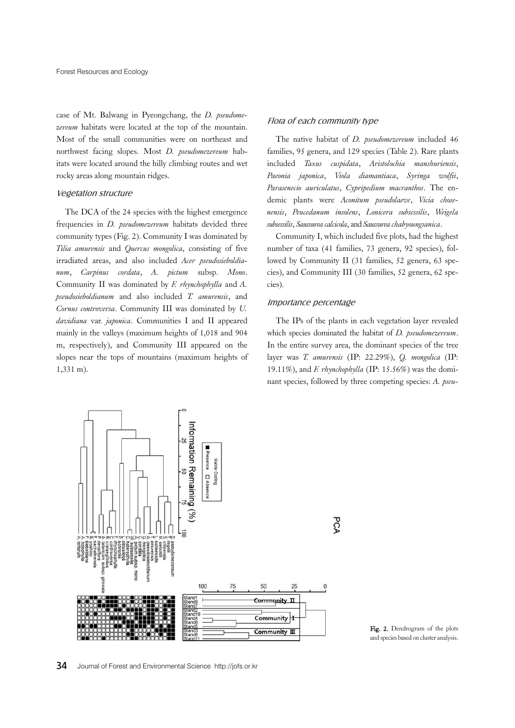case of Mt. Balwang in Pyeongchang, the *D. pseudomezereum* habitats were located at the top of the mountain. Most of the small communities were on northeast and northwest facing slopes. Most *D. pseudomezereum* habitats were located around the hilly climbing routes and wet rocky areas along mountain ridges.

#### Vegetation structure

The DCA of the 24 species with the highest emergence frequencies in *D. pseudomezereum* habitats devided three community types (Fig. 2). Community I was dominated by *Tilia amurensis* and *Quercus mongolica*, consisting of five irradiated areas, and also included *Acer pseudosieboldianum*, *Carpinus cordata*, *A. pictum* subsp. *Mono*. Community II was dominated by *F. rhynchophylla* and *A. pseudosieboldianum* and also included *T. amurensis*, and *Cornus controversa*. Community III was dominated by *U. davidiana* var. *japonica*. Communities I and II appeared mainly in the valleys (maximum heights of 1,018 and 904 m, respectively), and Community III appeared on the slopes near the tops of mountains (maximum heights of 1,331 m).

#### Flora of each community type

The native habitat of *D. pseudomezereum* included 46 families, 95 genera, and 129 species (Table 2). Rare plants included *Taxus cuspidata*, *Aristolochia manshuriensis*, *Paeonia japonica*, *Viola diamantiaca*, *Syringa wolfii*, *Parasenecio auriculatus*, *Cypripedium macranthos*. The endemic plants were *Aconitum pseudolaeve*, *Vicia chosenensis*, *Peucedanum insolens*, *Lonicera subsessilis*, *Weigela subsessilis*, *Saussurea calcicola*, and *Saussurea chabyoungsanica*.

Community I, which included five plots, had the highest number of taxa (41 families, 73 genera, 92 species), followed by Community II (31 families, 52 genera, 63 species), and Community III (30 families, 52 genera, 62 species).

#### Importance percentage

The IPs of the plants in each vegetation layer revealed which species dominated the habitat of *D. pseudomezereum*. In the entire survey area, the dominant species of the tree layer was *T. amurensis* (IP: 22.29%), *Q. mongolica* (IP: 19.11%), and *F. rhynchophylla* (IP: 15.56%) was the dominant species, followed by three competing species: *A. pseu-*



Fig. 2. Dendrogram of the plots and species based on cluster analysis.

34 Journal of Forest and Environmental Science http://jofs.or.kr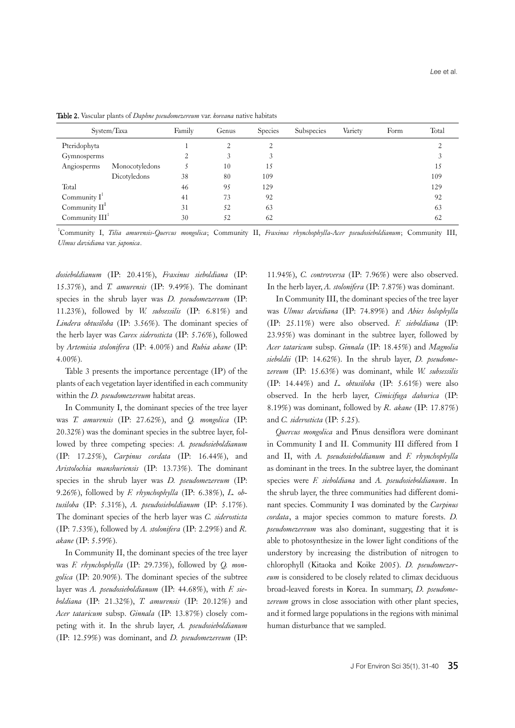|                            | System/Taxa    | Family | Genus | <b>Species</b> | <b>Subspecies</b> | Variety | Form | Total |
|----------------------------|----------------|--------|-------|----------------|-------------------|---------|------|-------|
| Pteridophyta               |                |        | ∠     | 2              |                   |         |      |       |
| Gymnosperms                |                | 2      | 3     | 3              |                   |         |      |       |
| Angiosperms                | Monocotyledons |        | 10    | 15             |                   |         |      | 15    |
|                            | Dicotyledons   | 38     | 80    | 109            |                   |         |      | 109   |
| Total                      |                | 46     | 95    | 129            |                   |         |      | 129   |
| Community $I^1$            |                | 41     | 73    | 92             |                   |         |      | 92    |
| Community $II1$            |                | 31     | 52    | 63             |                   |         |      | 63    |
| Community III <sup>1</sup> |                | 30     | 52    | 62             |                   |         |      | 62    |

Table 2. Vascular plants of *Daphne pseudomezereum* var. *koreana* native habitats

1 Community I, *Tilia amurensis-Quercus mongolica*; Community II, *Fraxinus rhynchophylla-Acer pseudosieboldianum*; Community III, *Ulmus davidiana* var. *japonica*.

*dosieboldianum* (IP: 20.41%), *Fraxinus sieboldiana* (IP: 15.37%), and *T. amurensis* (IP: 9.49%). The dominant species in the shrub layer was *D. pseudomezereum* (IP: 11.23%), followed by *W. subsessilis* (IP: 6.81%) and *Lindera obtusiloba* (IP: 3.56%). The dominant species of the herb layer was *Carex siderosticta* (IP: 5.76%), followed by *Artemisia stolonifera* (IP: 4.00%) and *Rubia akane* (IP: 4.00%).

Table 3 presents the importance percentage (IP) of the plants of each vegetation layer identified in each community within the *D. pseudomezereum* habitat areas.

In Community I, the dominant species of the tree layer was *T. amurensis* (IP: 27.62%), and *Q. mongolica* (IP: 20.32%) was the dominant species in the subtree layer, followed by three competing species: *A. pseudosieboldianum* (IP: 17.25%), *Carpinus cordata* (IP: 16.44%), and *Aristolochia manshuriensis* (IP: 13.73%). The dominant species in the shrub layer was *D. pseudomezereum* (IP: 9.26%), followed by *F. rhynchophylla* (IP: 6.38%), *L. obtusiloba* (IP: 5.31%), *A. pseudosieboldianum* (IP: 5.17%). The dominant species of the herb layer was *C. siderosticta* (IP: 7.53%), followed by *A. stolonifera* (IP: 2.29%) and *R. akane* (IP: 5.59%).

In Community II, the dominant species of the tree layer was *F. rhynchophylla* (IP: 29.73%), followed by *Q. mongolica* (IP: 20.90%). The dominant species of the subtree layer was *A. pseudosieboldianum* (IP: 44.68%), with *F. sieboldiana* (IP: 21.32%), *T. amurensis* (IP: 20.12%) and *Acer tataricum* subsp. *Ginnala* (IP: 13.87%) closely competing with it. In the shrub layer, *A. pseudosieboldianum* (IP: 12.59%) was dominant, and *D. pseudomezereum* (IP:

11.94%), *C. controversa* (IP: 7.96%) were also observed. In the herb layer, *A. stolonifera* (IP: 7.87%) was dominant.

In Community III, the dominant species of the tree layer was *Ulmus davidiana* (IP: 74.89%) and *Abies holophylla*  (IP: 25.11%) were also observed. *F. sieboldiana* (IP: 23.95%) was dominant in the subtree layer, followed by *Acer tataricum* subsp. *Ginnala* (IP: 18.45%) and *Magnolia sieboldii* (IP: 14.62%). In the shrub layer, *D. pseudomezereum* (IP: 15.63%) was dominant, while *W. subsessilis*  (IP: 14.44%) and *L. obtusiloba* (IP: 5.61%) were also observed. In the herb layer, *Cimicifuga dahurica* (IP: 8.19%) was dominant, followed by *R. akane* (IP: 17.87%) and *C. siderosticta* (IP: 5.25).

*Quercus mongolica* and Pinus densiflora were dominant in Community I and II. Community III differed from I and II, with *A. pseudosieboldianum* and *F. rhynchophylla* as dominant in the trees. In the subtree layer, the dominant species were *F. sieboldiana* and *A. pseudosieboldianum*. In the shrub layer, the three communities had different dominant species. Community I was dominated by the *Carpinus cordata*, a major species common to mature forests. *D. pseudomezereum* was also dominant, suggesting that it is able to photosynthesize in the lower light conditions of the understory by increasing the distribution of nitrogen to chlorophyll (Kitaoka and Koike 2005). *D. pseudomezereum* is considered to be closely related to climax deciduous broad-leaved forests in Korea. In summary, *D. pseudomezereum* grows in close association with other plant species, and it formed large populations in the regions with minimal human disturbance that we sampled.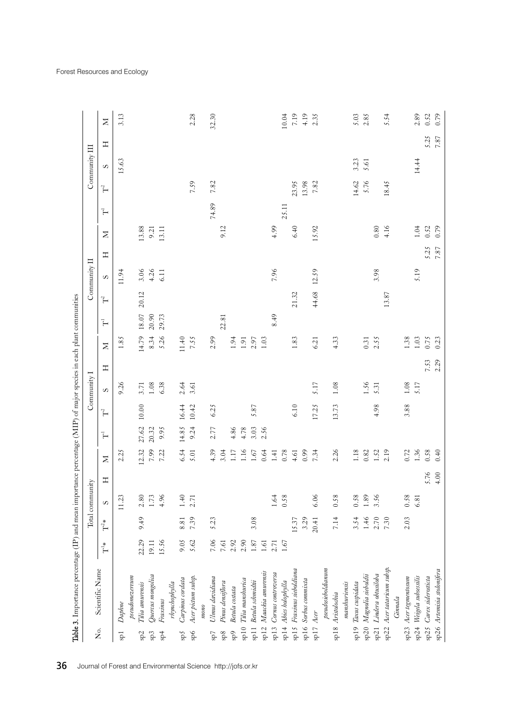|                |                                       |                |                  | Total community |      |       |           |                | Community I |      |       |       |                | Community II |          |           |                    |                | Community III |      |                |
|----------------|---------------------------------------|----------------|------------------|-----------------|------|-------|-----------|----------------|-------------|------|-------|-------|----------------|--------------|----------|-----------|--------------------|----------------|---------------|------|----------------|
| Σò.            | Scientific Name                       | $\mathbf{T}^*$ | $\text{T}^2\ast$ | S               | Ξ    | Σ     | $\bar{t}$ | $\mathbb{I}^2$ | S           | Η    | Σ     | Ŧ     | $\mathbb{I}^2$ | S            | Ξ        | Σ         | $\bar{\mathsf{H}}$ | $\mathbb{I}^2$ | S             | Ξ    | Σ              |
| <b>i</b> ds    | Daphne                                |                |                  | 11.23           |      | 2.25  |           |                | 9.26        |      | 1.85  |       |                | 11.94        |          |           |                    |                | 15.63         |      | 3.13           |
|                | pseudomezereum                        |                |                  |                 |      |       |           |                |             |      |       |       |                |              |          |           |                    |                |               |      |                |
| Sp2            | Tilia amurensis                       | 22.29          | 9.49             | 2.80            |      | 12.32 | 27.62     | $10.00$        | 3.71        |      | 14.79 | 18.07 | 20.12          | 3.06         |          | 13.88     |                    |                |               |      |                |
| sp3            | Quercus mongolica                     | 19.11          |                  | 1.73            |      | 7.99  | 20.32     |                | $1.08\,$    |      | 8.34  | 20.90 |                | 4.26         |          | 9.21      |                    |                |               |      |                |
| spt            | Fraxinus                              | 15.56          |                  | 4.96            |      | 7.22  | 9.95      |                | 6.38        |      | 5.26  | 29.73 |                | 6.11         |          | 13.11     |                    |                |               |      |                |
|                | rhynchophylla                         |                |                  |                 |      |       |           |                |             |      |       |       |                |              |          |           |                    |                |               |      |                |
| Sp5            | Carpinus cordata                      | 9.05           | 8.81             | 1.40            |      | 6.54  | 14.85     | 16.44          | 2.64        |      | 11.40 |       |                |              |          |           |                    |                |               |      |                |
| $\rm{g}\rm{g}$ | Acer pictum subsp.                    | 5.62           | 7.39             | 2.71            |      | 5.01  | 9.24      | 10.42          | 3.61        |      | 7.55  |       |                |              |          |           |                    | 7.59           |               |      | 2.28           |
|                | mono                                  |                |                  |                 |      |       |           |                |             |      |       |       |                |              |          |           |                    |                |               |      |                |
| Tqs            | Ulmus davidiana                       | 7.06           | 5.23             |                 |      | 4.39  | 2.77      | 6.25           |             |      | 2.99  |       |                |              |          |           | 74.89              | 7.82           |               |      | 32.30          |
| sps            | Pinus densiflora                      | 7.61           |                  |                 |      | 3.04  |           |                |             |      |       | 22.81 |                |              |          | 9.12      |                    |                |               |      |                |
| eds            | Betula costata                        | 2.92           |                  |                 |      | 1.17  | 4.86      |                |             |      | 1.94  |       |                |              |          |           |                    |                |               |      |                |
| $\rm sp10$     | Tilia manshurica                      | 2.90           |                  |                 |      | 1.16  | 4.78      |                |             |      | 1.91  |       |                |              |          |           |                    |                |               |      |                |
| $\frac{1}{2}$  | Betula schmidtii                      | $1.87\,$       | 3.08             |                 |      | 1.67  | 3.03      | 5.87           |             |      | 2.97  |       |                |              |          |           |                    |                |               |      |                |
| spl2           | Maackia amurensis                     | $1.61\,$       |                  |                 |      | 0.64  | 2.56      |                |             |      | 1.03  |       |                |              |          |           |                    |                |               |      |                |
| sp13           | Cornus controversa                    | 2.71           |                  | 1.64            |      | 1.41  |           |                |             |      |       | 8.49  |                | 7.96         |          | 4.99      |                    |                |               |      |                |
| $spl4$ .       | Abies holophylla                      | $1.67\,$       |                  | 0.58            |      | 0.78  |           |                |             |      |       |       |                |              |          |           | 25.11              |                |               |      | 10.04          |
| spl5           | Fraxinus sieboldiana                  |                | 15.37            |                 |      | 4.61  |           | 6.10           |             |      | 1.83  |       | 21.32          |              |          | 6.40      |                    | 23.95          |               |      | $7.19$<br>4.19 |
| $\frac{1}{2}$  | Sorbus commixta                       |                | 3.29             |                 |      | 0.99  |           |                |             |      |       |       |                |              |          |           |                    | 13.98          |               |      |                |
| sp17 Acer      |                                       |                | 20.41            | 6.06            |      | 7.34  |           | 17.25          | 5.17        |      | 6.21  |       | 44.68          | 12.59        |          | 15.92     |                    | 7.82           |               |      | 2.35           |
|                | pseudosieboldianum                    |                |                  |                 |      |       |           |                |             |      |       |       |                |              |          |           |                    |                |               |      |                |
| $\frac{8}{16}$ | Aristolochia                          |                | 7.14             | 0.58            |      | 2.26  |           | 13.73          | 1.08        |      | 4.33  |       |                |              |          |           |                    |                |               |      |                |
|                | manshuriensis                         |                |                  |                 |      |       |           |                |             |      |       |       |                |              |          |           |                    |                |               |      |                |
|                | sp19 Taxus cuspidata                  |                | 3.54             | 0.58            |      | 1.18  |           |                |             |      |       |       |                |              |          |           |                    | 14.62          | 3.23          |      | 5.03           |
|                | sp20 Magnolia sieboldii               |                | 1.46             | 1.89            |      | 0.82  |           |                | 1.56        |      | 0.31  |       |                |              |          |           |                    | 5.76           | 5.61          |      | 2.85           |
|                | sp21 Lindera obtusiloba               |                | 2.70             | 3.56            |      | 1.52  |           | 4.98           | 5.31        |      | 2.55  |       |                | 3.98         |          | $_{0.80}$ |                    |                |               |      |                |
|                | sp22 Acer tataricum subsp.<br>Ginnala |                | 7.30             |                 |      | 2.19  |           |                |             |      |       |       | 13.87          |              |          | 4.16      |                    | 18.45          |               |      | 5.54           |
|                | sp23 Acer tegmentosum                 |                | 2.03             | 0.58            |      | 0.72  |           | 3.88           | $1.08\,$    |      | 1.38  |       |                |              |          |           |                    |                |               |      |                |
|                | sp24 Weigela subsessilis              |                |                  | 6.81            |      | 1.36  |           |                | 5.17        |      | 1.03  |       |                | 5.19         |          | 1.04      |                    |                | 14.44         |      | 2.89           |
|                | sp25 Carex siderosticta               |                |                  |                 | 5.76 | 0.58  |           |                |             | 7.53 | 0.75  |       |                |              | 5.25     | 0.52      |                    |                |               | 5.25 | 0.52           |
|                | sp26 Artemisia stolonifera            |                |                  |                 | 4.00 | 0.40  |           |                |             | 2.29 | 0.23  |       |                |              | $7.87\,$ | 0.79      |                    |                |               | 7.87 | 0.79           |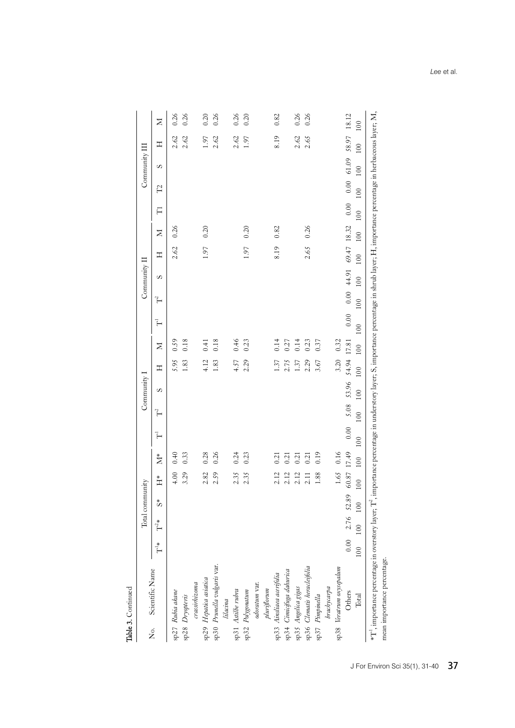|                           |                                                                                                          |                        |                       | Total community |             |                        |                    |              | Community I |             |      |      |              | Community II |             |      |        |            | Community III |             |      |
|---------------------------|----------------------------------------------------------------------------------------------------------|------------------------|-----------------------|-----------------|-------------|------------------------|--------------------|--------------|-------------|-------------|------|------|--------------|--------------|-------------|------|--------|------------|---------------|-------------|------|
| $\stackrel{\circ}{\rm Z}$ | Scientific Name                                                                                          | $\tilde{\mathsf{L}}^*$ | $T^*$                 | \$*             | $H^*$       | $\stackrel{*}{\Sigma}$ | $\vec{\mathsf{H}}$ | $\mathbb{I}$ | S           | Ξ           | Σ    | Ē    | $\mathbb{H}$ | S            | Η           | Σ    | $\Box$ | $\Gamma$ 2 | S             | Ξ           | Σ    |
|                           | sp27 Rubia akane                                                                                         |                        |                       |                 | 4.00        | 0.40                   |                    |              |             | 5.95        | 0.59 |      |              |              | 2.62        | 0.26 |        |            |               | 2.62        | 0.26 |
|                           | sp28 Dryopteris                                                                                          |                        |                       |                 | 3.29        | 0.33                   |                    |              |             | 1.83        | 0.18 |      |              |              |             |      |        |            |               | 2.62        | 0.26 |
|                           | crassirhizoma                                                                                            |                        |                       |                 |             |                        |                    |              |             |             |      |      |              |              |             |      |        |            |               |             |      |
|                           | sp29 Hepatica asiatica<br>sp30 Prunella vulgaris var.                                                    |                        |                       |                 | 2.82        | 0.28                   |                    |              |             | 4.12        | 0.41 |      |              |              | 1.97        | 0.20 |        |            |               | 1.97        | 0.20 |
|                           |                                                                                                          |                        |                       |                 | 2.59        | 0.26                   |                    |              |             | 1.83        | 0.18 |      |              |              |             |      |        |            |               | 2.62        | 0.26 |
|                           | lilacina                                                                                                 |                        |                       |                 |             |                        |                    |              |             |             |      |      |              |              |             |      |        |            |               |             |      |
|                           | sp31 Astilbe rubra                                                                                       |                        |                       |                 | 2.35        | 0.24                   |                    |              |             | 4.57        | 0.46 |      |              |              |             |      |        |            |               | 2.62        | 0.26 |
|                           |                                                                                                          |                        |                       |                 | 2.35        | 0.23                   |                    |              |             | 2.29        | 0.23 |      |              |              | 1.97        | 0.20 |        |            |               | 1.97        | 0.20 |
|                           | sp32 Polygonatum<br>odoratum var.                                                                        |                        |                       |                 |             |                        |                    |              |             |             |      |      |              |              |             |      |        |            |               |             |      |
|                           |                                                                                                          |                        |                       |                 |             |                        |                    |              |             |             |      |      |              |              |             |      |        |            |               |             |      |
|                           | pluriflorum<br>sp33 Ainsliaea acerifolia                                                                 |                        |                       |                 | 2.12        | 0.21                   |                    |              |             | 1.37        | 0.14 |      |              |              | 8.19        | 0.82 |        |            |               | 8.19        | 0.82 |
|                           |                                                                                                          |                        |                       |                 | 2.12        | 0.21                   |                    |              |             | 2.75        | 0.27 |      |              |              |             |      |        |            |               |             |      |
|                           |                                                                                                          |                        |                       |                 | 2.12        | 0.21                   |                    |              |             | 1.37        | 0.14 |      |              |              |             |      |        |            |               | 2.62        | 0.26 |
|                           |                                                                                                          |                        |                       |                 | 2.11        | 0.21                   |                    |              |             | 2.29        | 0.23 |      |              |              | 2.65        | 0.26 |        |            |               | 2.65        | 0.26 |
|                           | sp34   Cimicifuga dahurica<br>sp35   Angelica gigas<br>sp36   Clematis heradeifólia<br>sp37   Pimpinella |                        |                       |                 | 1.88        | 0.19                   |                    |              |             | 3.67        | 0.37 |      |              |              |             |      |        |            |               |             |      |
|                           | brachycapa                                                                                               |                        |                       |                 |             |                        |                    |              |             |             |      |      |              |              |             |      |        |            |               |             |      |
|                           | sp38 Veratrum oxysepalum                                                                                 |                        |                       |                 | $1.65\,$    | 0.16                   |                    |              |             | 3.20        | 0.32 |      |              |              |             |      |        |            |               |             |      |
|                           | Others                                                                                                   |                        | $0.00$ $2.76$ $52.89$ |                 | 60.87 17.49 |                        | 0.00               | 5.08         | 53.96       | 54.94 17.81 |      | 0.00 |              | 0.0044.91    | 69.47 18.32 |      | 0.00   | 0.00       | 61.09         | 58.97 18.12 |      |
|                           | Total                                                                                                    | 100                    | 100                   | 100             | 100         | 100                    | 100                | 100          | $100\,$     | 100         | 100  | 100  | 100          | 100          | 100         | 100  | 100    | 100        | 100           | 100         | 100  |

J For Environ Sci 35(1), 31-40 37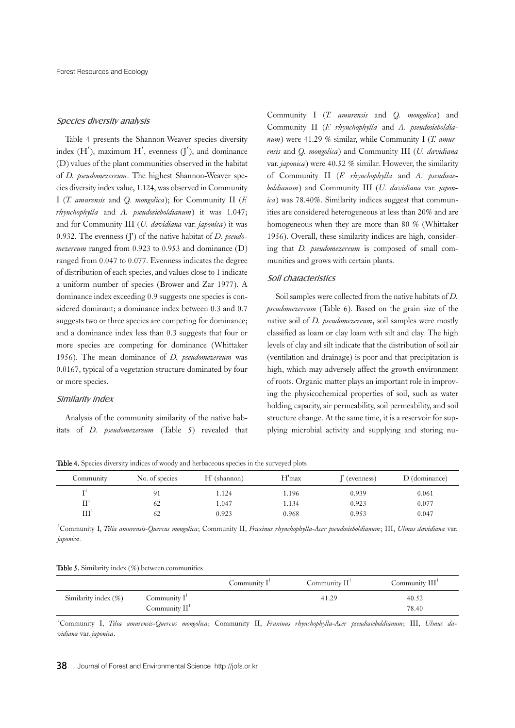#### Species diversity analysis

Table 4 presents the Shannon-Weaver species diversity index  $(H')$ , maximum  $H'$ , evenness  $(I')$ , and dominance (D) values of the plant communities observed in the habitat of *D. pseudomezereum*. The highest Shannon-Weaver species diversity index value, 1.124, was observed in Community I (*T. amurensis* and *Q. mongolica*); for Community II (*F. rhynchophylla* and *A. pseudosieboldianum*) it was 1.047; and for Community III (*U. davidiana* var. *japonica*) it was 0.932. The evenness (J') of the native habitat of *D. pseudomezereum* ranged from 0.923 to 0.953 and dominance (D) ranged from 0.047 to 0.077. Evenness indicates the degree of distribution of each species, and values close to 1 indicate a uniform number of species (Brower and Zar 1977). A dominance index exceeding 0.9 suggests one species is considered dominant; a dominance index between 0.3 and 0.7 suggests two or three species are competing for dominance; and a dominance index less than 0.3 suggests that four or more species are competing for dominance (Whittaker 1956). The mean dominance of *D. pseudomezereum* was 0.0167, typical of a vegetation structure dominated by four or more species.

### Similarity index

Analysis of the community similarity of the native habitats of *D. pseudomezereum* (Table 5) revealed that Community I (*T. amurensis* and *Q. mongolica*) and Community II (*F. rhynchophylla* and *A. pseudosieboldianum*) were 41.29 % similar, while Community I (*T. amurensis* and *Q. mongolica*) and Community III (*U. davidiana*  var. *japonica*) were 40.52 % similar. However, the similarity of Community II (*F. rhynchophylla* and *A. pseudosieboldianum*) and Community III (*U. davidiana* var. *japonica*) was 78.40%. Similarity indices suggest that communities are considered heterogeneous at less than 20% and are homogeneous when they are more than 80 % (Whittaker 1956). Overall, these similarity indices are high, considering that *D. pseudomezereum* is composed of small communities and grows with certain plants.

### Soil characteristics

Soil samples were collected from the native habitats of *D. pseudomezereum* (Table 6). Based on the grain size of the native soil of *D. pseudomezereum*, soil samples were mostly classified as loam or clay loam with silt and clay. The high levels of clay and silt indicate that the distribution of soil air (ventilation and drainage) is poor and that precipitation is high, which may adversely affect the growth environment of roots. Organic matter plays an important role in improving the physicochemical properties of soil, such as water holding capacity, air permeability, soil permeability, and soil structure change. At the same time, it is a reservoir for supplying microbial activity and supplying and storing nu-

Table 4. Species diversity indices of woody and herbaceous species in the surveyed plots

| Community | No. of species | $H'$ (shannon) | $H'$ max | (evenness) | D (dominance) |
|-----------|----------------|----------------|----------|------------|---------------|
|           | О.             | 1.124          | 1.196    | 0.939      | 0.061         |
| TT.       | 62             | 1.047          | 1.134    | 0.923      | 0.077         |
| III       | 62             | 0.923          | 0.968    | 0.953      | 0.047         |

1 Community I, *Tilia amurensis-Quercus mongolica*; Community II, *Fraxinus rhynchophylla-Acer pseudosieboldianum*; III, *Ulmus davidiana* var. *japonica*.

|                         |                        | Community $I^1$ | Community $II1$ | Community III <sup>1</sup> |
|-------------------------|------------------------|-----------------|-----------------|----------------------------|
| Similarity index $(\%)$ | Community $I^{\perp}$  |                 | 41.29           | 40.52                      |
|                         | Community $II^{\perp}$ |                 |                 | 78.40                      |

1 Community I, *Tilia amurensis-Quercus mongolica*; Community II, *Fraxinus rhynchophylla-Acer pseudosieboldianum*; III, *Ulmus davidiana* var. *japonica*.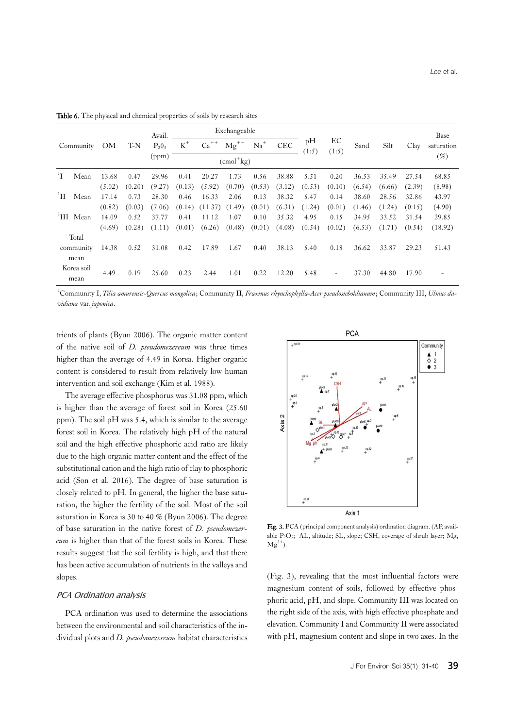|                        |        |        | Avail.   |        |         | Exchangeable               |        |            |             |                          |        |        |        | <b>Base</b> |
|------------------------|--------|--------|----------|--------|---------|----------------------------|--------|------------|-------------|--------------------------|--------|--------|--------|-------------|
| Community              | OM     | T-N    | $P_20_5$ | $K^+$  | $Ca++$  | ${Mg}^{++}$                | $Na+$  | <b>CEC</b> | pH<br>(1:5) | EC<br>(1:5)              | Sand   | Silt   | Clay   | saturation  |
|                        |        |        | (ppm)    |        |         | $\text{(cmol}^+\text{kg})$ |        |            |             |                          |        |        |        | $(\%)$      |
| $\mathbf{I}^1$<br>Mean | 13.68  | 0.47   | 29.96    | 0.41   | 20.27   | 1.73                       | 0.56   | 38.88      | 5.51        | 0.20                     | 36.53  | 35.49  | 27.54  | 68.85       |
|                        | (5.02) | (0.20) | (9.27)   | (0.13) | (5.92)  | (0.70)                     | (0.53) | (3.12)     | (0.53)      | (0.10)                   | (6.54) | (6.66) | (2.39) | (8.98)      |
| $\Pi^1$<br>Mean        | 17.14  | 0.73   | 28.30    | 0.46   | 16.33   | 2.06                       | 0.13   | 38.32      | 5.47        | 0.14                     | 38.60  | 28.56  | 32.86  | 43.97       |
|                        | (0.82) | (0.03) | (7.06)   | (0.14) | (11.37) | (1.49)                     | (0.01) | (6.31)     | (1.24)      | (0.01)                   | (1.46) | (1.24) | (0.15) | (4.90)      |
| <sup>1</sup> III Mean  | 14.09  | 0.52   | 37.77    | 0.41   | 11.12   | 1.07                       | 0.10   | 35.32      | 4.95        | 0.15                     | 34.95  | 33.52  | 31.54  | 29.85       |
|                        | (4.69) | (0.28) | (1.11)   | (0.01) | (6.26)  | (0.48)                     | (0.01) | (4.08)     | (0.54)      | (0.02)                   | (6.53) | (1.71) | (0.54) | (18.92)     |
| Total                  |        |        |          |        |         |                            |        |            |             |                          |        |        |        |             |
| community              | 14.38  | 0.52   | 31.08    | 0.42   | 17.89   | 1.67                       | 0.40   | 38.13      | 5.40        | 0.18                     | 36.62  | 33.87  | 29.23  | 51.43       |
| mean                   |        |        |          |        |         |                            |        |            |             |                          |        |        |        |             |
| Korea soil<br>mean     | 4.49   | 0.19   | 25.60    | 0.23   | 2.44    | 1.01                       | 0.22   | 12.20      | 5.48        | $\overline{\phantom{0}}$ | 37.30  | 44.80  | 17.90  |             |

Table 6. The physical and chemical properties of soils by research sites

1 Community I, *Tilia amurensis-Quercus mongolica*; Community II, *Fraxinus rhynchophylla-Acer pseudosieboldianum*; Community III, *Ulmus davidiana* var. *japonica*.

trients of plants (Byun 2006). The organic matter content of the native soil of *D. pseudomezereum* was three times higher than the average of 4.49 in Korea. Higher organic content is considered to result from relatively low human intervention and soil exchange (Kim et al. 1988).

The average effective phosphorus was 31.08 ppm, which is higher than the average of forest soil in Korea (25.60 ppm). The soil pH was 5.4, which is similar to the average forest soil in Korea. The relatively high pH of the natural soil and the high effective phosphoric acid ratio are likely due to the high organic matter content and the effect of the substitutional cation and the high ratio of clay to phosphoric acid (Son et al. 2016). The degree of base saturation is closely related to pH. In general, the higher the base saturation, the higher the fertility of the soil. Most of the soil saturation in Korea is 30 to 40 % (Byun 2006). The degree of base saturation in the native forest of *D. pseudomezereum* is higher than that of the forest soils in Korea. These results suggest that the soil fertility is high, and that there has been active accumulation of nutrients in the valleys and slopes.

### PCA Ordination analysis

PCA ordination was used to determine the associations between the environmental and soil characteristics of the individual plots and *D. pseudomezereum* habitat characteristics



Fig. 3. PCA (principal component analysis) ordination diagram. (AP, available P<sub>2</sub>O<sub>5</sub>; AL, altitude; SL, slope; CSH, coverage of shrub layer; Mg,  $Mg^{2+}$ ).

(Fig. 3), revealing that the most influential factors were magnesium content of soils, followed by effective phosphoric acid, pH, and slope. Community III was located on the right side of the axis, with high effective phosphate and elevation. Community I and Community II were associated with pH, magnesium content and slope in two axes. In the